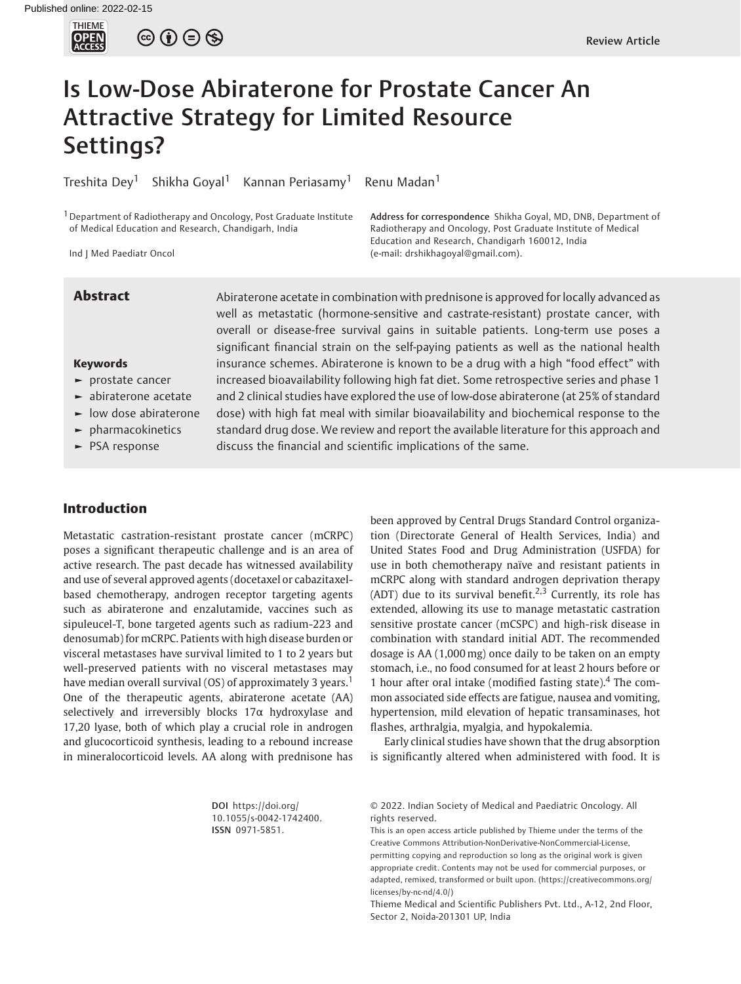

 $\circledcirc$   $\oplus$   $\circledcirc$ 

# Is Low-Dose Abiraterone for Prostate Cancer An Attractive Strategy for Limited Resource Settings?

Treshita Dey<sup>1</sup> Shikha Goyal<sup>1</sup> Kannan Periasamy<sup>1</sup> Renu Madan<sup>1</sup>

1Department of Radiotherapy and Oncology, Post Graduate Institute of Medical Education and Research, Chandigarh, India

Ind J Med Paediatr Oncol

Address for correspondence Shikha Goyal, MD, DNB, Department of Radiotherapy and Oncology, Post Graduate Institute of Medical Education and Research, Chandigarh 160012, India (e-mail: [drshikhagoyal@gmail.com\)](mailto:drshikhagoyal@gmail.com).

#### Keywords

- ► prostate cancer
- ► abiraterone acetate
- ► low dose abiraterone
- ► pharmacokinetics
- ► PSA response

Abstract Abiraterone acetate in combination with prednisone is approved for locally advanced as well as metastatic (hormone-sensitive and castrate-resistant) prostate cancer, with overall or disease-free survival gains in suitable patients. Long-term use poses a significant financial strain on the self-paying patients as well as the national health insurance schemes. Abiraterone is known to be a drug with a high "food effect" with increased bioavailability following high fat diet. Some retrospective series and phase 1 and 2 clinical studies have explored the use of low-dose abiraterone (at 25% of standard dose) with high fat meal with similar bioavailability and biochemical response to the standard drug dose. We review and report the available literature for this approach and discuss the financial and scientific implications of the same.

#### Introduction

Metastatic castration-resistant prostate cancer (mCRPC) poses a significant therapeutic challenge and is an area of active research. The past decade has witnessed availability and use of several approved agents (docetaxel or cabazitaxelbased chemotherapy, androgen receptor targeting agents such as abiraterone and enzalutamide, vaccines such as sipuleucel-T, bone targeted agents such as radium-223 and denosumab) for mCRPC. Patients with high disease burden or visceral metastases have survival limited to 1 to 2 years but well-preserved patients with no visceral metastases may have median overall survival (OS) of approximately 3 years.<sup>1</sup> One of the therapeutic agents, abiraterone acetate (AA) selectively and irreversibly blocks 17α hydroxylase and 17,20 lyase, both of which play a crucial role in androgen and glucocorticoid synthesis, leading to a rebound increase in mineralocorticoid levels. AA along with prednisone has

been approved by Central Drugs Standard Control organization (Directorate General of Health Services, India) and United States Food and Drug Administration (USFDA) for use in both chemotherapy naïve and resistant patients in mCRPC along with standard androgen deprivation therapy (ADT) due to its survival benefit.<sup>2,3</sup> Currently, its role has extended, allowing its use to manage metastatic castration sensitive prostate cancer (mCSPC) and high-risk disease in combination with standard initial ADT. The recommended dosage is AA (1,000 mg) once daily to be taken on an empty stomach, i.e., no food consumed for at least 2 hours before or 1 hour after oral intake (modified fasting state).<sup>4</sup> The common associated side effects are fatigue, nausea and vomiting, hypertension, mild elevation of hepatic transaminases, hot flashes, arthralgia, myalgia, and hypokalemia.

Early clinical studies have shown that the drug absorption is significantly altered when administered with food. It is

DOI [https://doi.org/](https://doi.org/10.1055/s-0042-1742400) [10.1055/s-0042-1742400](https://doi.org/10.1055/s-0042-1742400). ISSN 0971-5851.

© 2022. Indian Society of Medical and Paediatric Oncology. All rights reserved.

This is an open access article published by Thieme under the terms of the Creative Commons Attribution-NonDerivative-NonCommercial-License, permitting copying and reproduction so long as the original work is given appropriate credit. Contents may not be used for commercial purposes, or adapted, remixed, transformed or built upon. (https://creativecommons.org/ licenses/by-nc-nd/4.0/)

Thieme Medical and Scientific Publishers Pvt. Ltd., A-12, 2nd Floor, Sector 2, Noida-201301 UP, India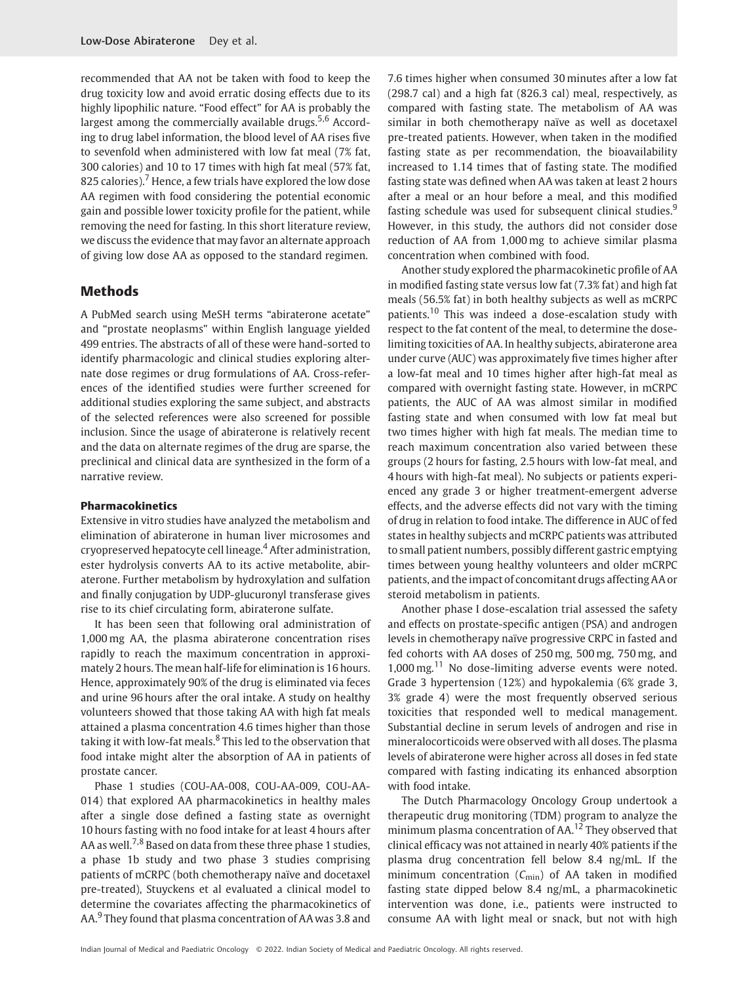recommended that AA not be taken with food to keep the drug toxicity low and avoid erratic dosing effects due to its highly lipophilic nature. "Food effect" for AA is probably the largest among the commercially available drugs.<sup>5,6</sup> According to drug label information, the blood level of AA rises five to sevenfold when administered with low fat meal (7% fat, 300 calories) and 10 to 17 times with high fat meal (57% fat, 825 calories).<sup>7</sup> Hence, a few trials have explored the low dose AA regimen with food considering the potential economic gain and possible lower toxicity profile for the patient, while removing the need for fasting. In this short literature review, we discuss the evidence that may favor an alternate approach of giving low dose AA as opposed to the standard regimen.

### Methods

A PubMed search using MeSH terms "abiraterone acetate" and "prostate neoplasms" within English language yielded 499 entries. The abstracts of all of these were hand-sorted to identify pharmacologic and clinical studies exploring alternate dose regimes or drug formulations of AA. Cross-references of the identified studies were further screened for additional studies exploring the same subject, and abstracts of the selected references were also screened for possible inclusion. Since the usage of abiraterone is relatively recent and the data on alternate regimes of the drug are sparse, the preclinical and clinical data are synthesized in the form of a narrative review.

#### Pharmacokinetics

Extensive in vitro studies have analyzed the metabolism and elimination of abiraterone in human liver microsomes and cryopreserved hepatocyte cell lineage.<sup>4</sup> After administration, ester hydrolysis converts AA to its active metabolite, abiraterone. Further metabolism by hydroxylation and sulfation and finally conjugation by UDP-glucuronyl transferase gives rise to its chief circulating form, abiraterone sulfate.

It has been seen that following oral administration of 1,000 mg AA, the plasma abiraterone concentration rises rapidly to reach the maximum concentration in approximately 2 hours. The mean half-life for elimination is 16 hours. Hence, approximately 90% of the drug is eliminated via feces and urine 96 hours after the oral intake. A study on healthy volunteers showed that those taking AA with high fat meals attained a plasma concentration 4.6 times higher than those taking it with low-fat meals. $8$  This led to the observation that food intake might alter the absorption of AA in patients of prostate cancer.

Phase 1 studies (COU-AA-008, COU-AA-009, COU-AA-014) that explored AA pharmacokinetics in healthy males after a single dose defined a fasting state as overnight 10 hours fasting with no food intake for at least 4 hours after AA as well,  $7,8$  Based on data from these three phase 1 studies, a phase 1b study and two phase 3 studies comprising patients of mCRPC (both chemotherapy naïve and docetaxel pre-treated), Stuyckens et al evaluated a clinical model to determine the covariates affecting the pharmacokinetics of AA.<sup>9</sup> They found that plasma concentration of AA was 3.8 and

7.6 times higher when consumed 30 minutes after a low fat (298.7 cal) and a high fat (826.3 cal) meal, respectively, as compared with fasting state. The metabolism of AA was similar in both chemotherapy naïve as well as docetaxel pre-treated patients. However, when taken in the modified fasting state as per recommendation, the bioavailability increased to 1.14 times that of fasting state. The modified fasting state was defined when AA was taken at least 2 hours after a meal or an hour before a meal, and this modified fasting schedule was used for subsequent clinical studies.<sup>9</sup> However, in this study, the authors did not consider dose reduction of AA from 1,000 mg to achieve similar plasma concentration when combined with food.

Another study explored the pharmacokinetic profile of AA in modified fasting state versus low fat (7.3% fat) and high fat meals (56.5% fat) in both healthy subjects as well as mCRPC patients.<sup>10</sup> This was indeed a dose-escalation study with respect to the fat content of the meal, to determine the doselimiting toxicities of AA. In healthy subjects, abiraterone area under curve (AUC) was approximately five times higher after a low-fat meal and 10 times higher after high-fat meal as compared with overnight fasting state. However, in mCRPC patients, the AUC of AA was almost similar in modified fasting state and when consumed with low fat meal but two times higher with high fat meals. The median time to reach maximum concentration also varied between these groups (2 hours for fasting, 2.5 hours with low-fat meal, and 4 hours with high-fat meal). No subjects or patients experienced any grade 3 or higher treatment-emergent adverse effects, and the adverse effects did not vary with the timing of drug in relation to food intake. The difference in AUC of fed states in healthy subjects and mCRPC patients was attributed to small patient numbers, possibly different gastric emptying times between young healthy volunteers and older mCRPC patients, and the impact of concomitant drugs affecting AA or steroid metabolism in patients.

Another phase I dose-escalation trial assessed the safety and effects on prostate-specific antigen (PSA) and androgen levels in chemotherapy naïve progressive CRPC in fasted and fed cohorts with AA doses of 250 mg, 500 mg, 750 mg, and  $1,000$  mg.<sup>11</sup> No dose-limiting adverse events were noted. Grade 3 hypertension (12%) and hypokalemia (6% grade 3, 3% grade 4) were the most frequently observed serious toxicities that responded well to medical management. Substantial decline in serum levels of androgen and rise in mineralocorticoids were observed with all doses. The plasma levels of abiraterone were higher across all doses in fed state compared with fasting indicating its enhanced absorption with food intake.

The Dutch Pharmacology Oncology Group undertook a therapeutic drug monitoring (TDM) program to analyze the minimum plasma concentration of AA.<sup>12</sup> They observed that clinical efficacy was not attained in nearly 40% patients if the plasma drug concentration fell below 8.4 ng/mL. If the minimum concentration  $(C_{\text{min}})$  of AA taken in modified fasting state dipped below 8.4 ng/mL, a pharmacokinetic intervention was done, i.e., patients were instructed to consume AA with light meal or snack, but not with high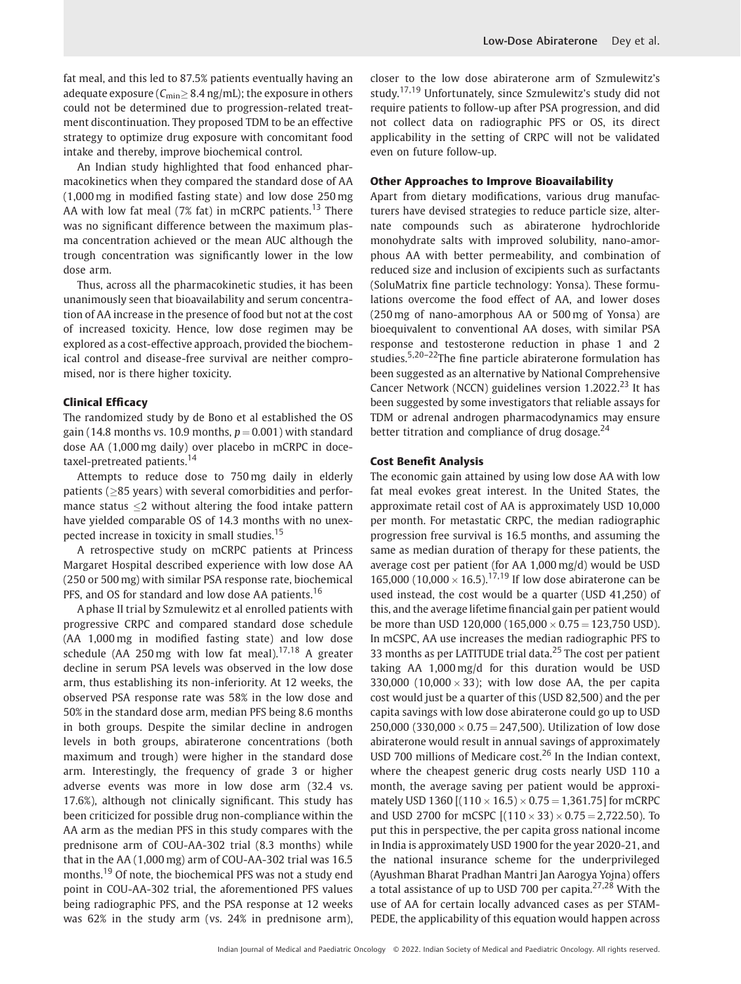fat meal, and this led to 87.5% patients eventually having an adequate exposure ( $C_{\text{min}} \geq 8.4$  ng/mL); the exposure in others could not be determined due to progression-related treatment discontinuation. They proposed TDM to be an effective strategy to optimize drug exposure with concomitant food intake and thereby, improve biochemical control.

An Indian study highlighted that food enhanced pharmacokinetics when they compared the standard dose of AA (1,000 mg in modified fasting state) and low dose 250 mg AA with low fat meal (7% fat) in mCRPC patients.<sup>13</sup> There was no significant difference between the maximum plasma concentration achieved or the mean AUC although the trough concentration was significantly lower in the low dose arm.

Thus, across all the pharmacokinetic studies, it has been unanimously seen that bioavailability and serum concentration of AA increase in the presence of food but not at the cost of increased toxicity. Hence, low dose regimen may be explored as a cost-effective approach, provided the biochemical control and disease-free survival are neither compromised, nor is there higher toxicity.

#### Clinical Efficacy

The randomized study by de Bono et al established the OS gain (14.8 months vs. 10.9 months,  $p = 0.001$ ) with standard dose AA (1,000 mg daily) over placebo in mCRPC in docetaxel-pretreated patients.<sup>14</sup>

Attempts to reduce dose to 750 mg daily in elderly patients ( $\geq$ 85 years) with several comorbidities and performance status  $\leq$ 2 without altering the food intake pattern have yielded comparable OS of 14.3 months with no unexpected increase in toxicity in small studies.<sup>15</sup>

A retrospective study on mCRPC patients at Princess Margaret Hospital described experience with low dose AA (250 or 500 mg) with similar PSA response rate, biochemical PFS, and OS for standard and low dose AA patients.<sup>16</sup>

A phase II trial by Szmulewitz et al enrolled patients with progressive CRPC and compared standard dose schedule (AA 1,000 mg in modified fasting state) and low dose schedule (AA 250 mg with low fat meal).<sup>17,18</sup> A greater decline in serum PSA levels was observed in the low dose arm, thus establishing its non-inferiority. At 12 weeks, the observed PSA response rate was 58% in the low dose and 50% in the standard dose arm, median PFS being 8.6 months in both groups. Despite the similar decline in androgen levels in both groups, abiraterone concentrations (both maximum and trough) were higher in the standard dose arm. Interestingly, the frequency of grade 3 or higher adverse events was more in low dose arm (32.4 vs. 17.6%), although not clinically significant. This study has been criticized for possible drug non-compliance within the AA arm as the median PFS in this study compares with the prednisone arm of COU-AA-302 trial (8.3 months) while that in the AA (1,000 mg) arm of COU-AA-302 trial was 16.5 months.<sup>19</sup> Of note, the biochemical PFS was not a study end point in COU-AA-302 trial, the aforementioned PFS values being radiographic PFS, and the PSA response at 12 weeks was 62% in the study arm (vs. 24% in prednisone arm),

closer to the low dose abiraterone arm of Szmulewitz's study.17,19 Unfortunately, since Szmulewitz's study did not require patients to follow-up after PSA progression, and did not collect data on radiographic PFS or OS, its direct applicability in the setting of CRPC will not be validated even on future follow-up.

#### Other Approaches to Improve Bioavailability

Apart from dietary modifications, various drug manufacturers have devised strategies to reduce particle size, alternate compounds such as abiraterone hydrochloride monohydrate salts with improved solubility, nano-amorphous AA with better permeability, and combination of reduced size and inclusion of excipients such as surfactants (SoluMatrix fine particle technology: Yonsa). These formulations overcome the food effect of AA, and lower doses (250 mg of nano-amorphous AA or 500 mg of Yonsa) are bioequivalent to conventional AA doses, with similar PSA response and testosterone reduction in phase 1 and 2 studies.<sup>5,20–22</sup>The fine particle abiraterone formulation has been suggested as an alternative by National Comprehensive Cancer Network (NCCN) guidelines version  $1.2022$ <sup>23</sup> It has been suggested by some investigators that reliable assays for TDM or adrenal androgen pharmacodynamics may ensure better titration and compliance of drug dosage. $24$ 

#### Cost Benefit Analysis

The economic gain attained by using low dose AA with low fat meal evokes great interest. In the United States, the approximate retail cost of AA is approximately USD 10,000 per month. For metastatic CRPC, the median radiographic progression free survival is 16.5 months, and assuming the same as median duration of therapy for these patients, the average cost per patient (for AA 1,000 mg/d) would be USD 165,000 (10,000  $\times$  16.5).<sup>17,19</sup> If low dose abiraterone can be used instead, the cost would be a quarter (USD 41,250) of this, and the average lifetime financial gain per patient would be more than USD 120,000 (165,000  $\times$  0.75 = 123,750 USD). In mCSPC, AA use increases the median radiographic PFS to 33 months as per LATITUDE trial data.<sup>25</sup> The cost per patient taking AA 1,000 mg/d for this duration would be USD 330,000 (10,000  $\times$  33); with low dose AA, the per capita cost would just be a quarter of this (USD 82,500) and the per capita savings with low dose abiraterone could go up to USD 250,000 (330,000  $\times$  0.75 = 247,500). Utilization of low dose abiraterone would result in annual savings of approximately USD 700 millions of Medicare cost. $26$  In the Indian context, where the cheapest generic drug costs nearly USD 110 a month, the average saving per patient would be approximately USD 1360 [(110  $\times$  16.5)  $\times$  0.75 = 1,361.75] for mCRPC and USD 2700 for mCSPC  $[(110 \times 33) \times 0.75 = 2,722.50)$ . To put this in perspective, the per capita gross national income in India is approximately USD 1900 for the year 2020-21, and the national insurance scheme for the underprivileged (Ayushman Bharat Pradhan Mantri Jan Aarogya Yojna) offers a total assistance of up to USD 700 per capita.<sup>27,28</sup> With the use of AA for certain locally advanced cases as per STAM-PEDE, the applicability of this equation would happen across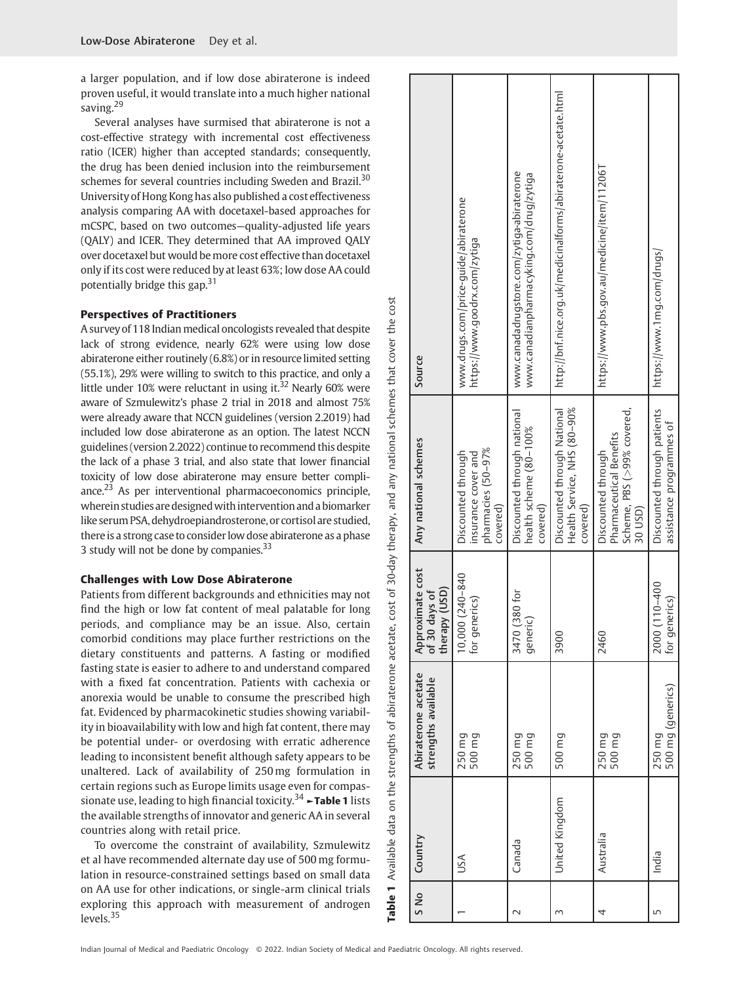a larger population, and if low dose abiraterone is indeed proven useful, it would translate into a much higher national saving.<sup>29</sup>

Several analyses have surmised that abiraterone is not a cost-effective strategy with incremental cost effectiveness ratio (ICER) higher than accepted standards; consequently, the drug has been denied inclusion into the reimbursement schemes for several countries including Sweden and Brazil.<sup>30</sup> University of Hong Kong has also published a cost effectiveness analysis comparing AA with docetaxel-based approaches for mCSPC, based on two outcomes—quality-adjusted life years (QALY) and ICER. They determined that AA improved QALY over docetaxel but would be more cost effective than docetaxel only if its cost were reduced by at least 63%; low dose AA could potentially bridge this gap.<sup>31</sup>

#### Perspectives of Practitioners

A survey of 118 Indian medical oncologists revealed that despite lack of strong evidence, nearly 62% were using low dose abiraterone either routinely (6.8%) or in resource limited setting (55.1%), 29% were willing to switch to this practice, and only a little under 10% were reluctant in using it. $32$  Nearly 60% were aware of Szmulewitz's phase 2 trial in 2018 and almost 75% were already aware that NCCN guidelines (version 2.2019) had included low dose abiraterone as an option. The latest NCCN guidelines (version 2.2022) continue to recommend this despite the lack of a phase 3 trial, and also state that lower financial toxicity of low dose abiraterone may ensure better compliance. $23$  As per interventional pharmacoeconomics principle, wherein studies are designed with intervention and a biomarker like serum PSA, dehydroepiandrosterone, or cortisol are studied, there is a strong case to consider low dose abiraterone as a phase 3 study will not be done by companies.<sup>33</sup>

#### Challenges with Low Dose Abiraterone

Patients from different backgrounds and ethnicities may not find the high or low fat content of meal palatable for long periods, and compliance may be an issue. Also, certain comorbid conditions may place further restrictions on the dietary constituents and patterns. A fasting or modified fasting state is easier to adhere to and understand compared with a fixed fat concentration. Patients with cachexia or anorexia would be unable to consume the prescribed high fat. Evidenced by pharmacokinetic studies showing variability in bioavailability with low and high fat content, there may be potential under- or overdosing with erratic adherence leading to inconsistent benefit although safety appears to be unaltered. Lack of availability of 250 mg formulation in certain regions such as Europe limits usage even for compassionate use, leading to high financial toxicity.<sup>34</sup>  $\sim$ **Table 1** lists the available strengths of innovator and generic AA in several countries along with retail price.

To overcome the constraint of availability, Szmulewitz et al have recommended alternate day use of 500 mg formulation in resource-constrained settings based on small data on AA use for other indications, or single-arm clinical trials exploring this approach with measurement of androgen levels.<sup>35</sup>

| S No | Country        | Abiraterone acetate<br>strengths available | Approximate cost<br>of 30 days of<br>therapy (USD) | Any national schemes                                                                   | Source                                                                                 |
|------|----------------|--------------------------------------------|----------------------------------------------------|----------------------------------------------------------------------------------------|----------------------------------------------------------------------------------------|
|      | USA            | 500 mg<br>250 mg                           | 10,000 (240-840<br>for generics)                   | pharmacies (50-97%<br>Discounted through<br>insurance cover and<br>covered)            | www.drugs.com/price-guide/abiraterone<br>https://www.goodrx.com/zytiga                 |
|      | Canada         | 250 mg<br>500 mg                           | $(380)$ for<br>generi<br>3470                      | Discounted through national<br>health scheme (80-100%<br>covered)                      | www.canadadrugstore.com/zytiga-abiraterone<br>www.canadianpharmacyking.com/drug/zytiga |
|      | United Kingdom | 500 mg                                     | 3900                                               | Health Service, NHS (80-90%<br>Discounted through National<br>covered)                 | http://bnf.nice.org.uk/medicinalforms/abiraterone-acetate.html                         |
|      | Australia      | 250 mg<br>500 mg                           | 2460                                               | Scheme, PBS (>99% covered,<br>Pharmaceutical Benetits<br>Discounted through<br>30 USD) | https://www.pbs.gov.au/medicine/item/11206T                                            |
|      | India          | 500 mg (generics)<br>250 mg                | $(110 - 400$<br>for generics)<br>2000              | Discounted through patients<br>assistance programmes of                                | https://www.1mg.com/drugs/                                                             |

Indian Journal of Medical and Paediatric Oncology © 2022. Indian Society of Medical and Paediatric Oncology. All rights reserved.

Table 1 Available data on the strengths of abiraterone acetate, cost of 30-day therapy, and any national schemes that cover the cost

strengths of

Available data on the

Table 1

abiraterone acetate, cost of 30-day therapy, and

cost the o

any national schemes that cover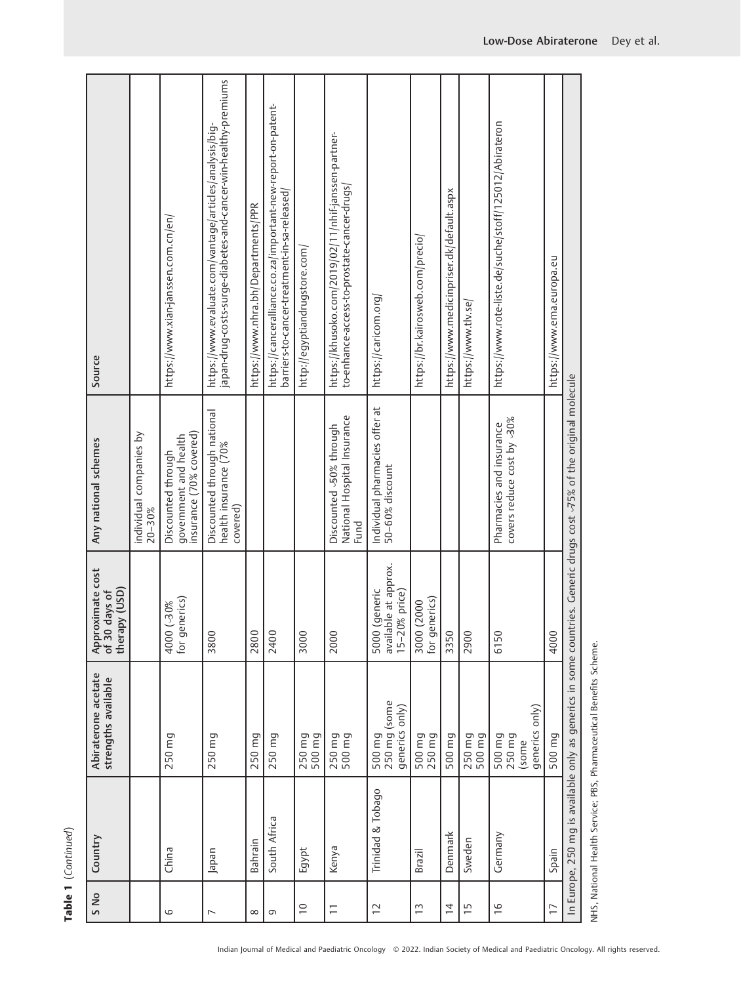| L<br>ı |
|--------|
| ۴      |
|        |
|        |
|        |

| S No                     | Country           | Abiraterone acetate<br>strengths available                         | Approximate cost<br>of 30 days of<br>therapy (USD)     | Any national schemes                                                         | Source                                                                                                                     |
|--------------------------|-------------------|--------------------------------------------------------------------|--------------------------------------------------------|------------------------------------------------------------------------------|----------------------------------------------------------------------------------------------------------------------------|
|                          |                   |                                                                    |                                                        | individual companies by<br>$20 - 30%$                                        |                                                                                                                            |
| 6                        | China             | 250 mg                                                             | for generics)<br>%06) 000                              | insurance (70% covered)<br>government and health<br>Discounted through       | https://www.xian-janssen.com.cn/en/                                                                                        |
| $\overline{\phantom{0}}$ | Japan             | 250 mg                                                             | 3800                                                   | Discounted through national<br>health insurance (70%<br>covered)             | japan-drug-costs-surge-diabetes-and-cancer-win-healthy-premiums<br>https://www.evaluate.com/vantage/articles/analysis/big- |
| $\infty$                 | Bahrain           | 250 mg                                                             | 2800                                                   |                                                                              | https://www.nhra.bh/Departments/PPR                                                                                        |
| G                        | South Africa      | 250 mg                                                             | 2400                                                   |                                                                              | https://canceralliance.co.za/important-new-report-on-patent-<br>barriers-to-cancer-treatment-in-sa-released/               |
| $\supseteq$              | Egypt             | 250 mg<br>500 mg                                                   | 3000                                                   |                                                                              | http://egyptiandrugstore.com/                                                                                              |
| $\overline{-}$           | Kenya             | 500 mg<br>250 mg                                                   | 2000                                                   | National Hospital Insurance<br>Discounted 50% through<br>Fund                | https://khusoko.com/2019/02/11/nhif-janssen-partner-<br>to-enhance-access-to-prostate-cancer-drugs/                        |
| $\overline{C}$           | Trinidad & Tobago | 250 mg (some<br>generics only)<br>500 mg                           | available at approx.<br>5000 (generic<br>15-20% price) | Individual pharmacies offer at<br>50-60% discount                            | https://caricom.org/                                                                                                       |
| $\tilde{1}$              | Brazil            | 500 mg<br>250 mg                                                   | for generics)<br>3000 (2000                            |                                                                              | https://br.kairosweb.com/precio/                                                                                           |
| $\overline{4}$           | Denmark           | 500 mg                                                             | 3350                                                   |                                                                              | https://www.medicinpriser.dk/default.aspx                                                                                  |
| ίņ                       | Sweden            | 250 mg<br>500 mg                                                   | 2900                                                   |                                                                              | https://www.tlv.se/                                                                                                        |
| $\overline{1}$           | Germany           | generics only)<br>500 mg<br>250 mg<br>(some                        | 6150                                                   | covers reduce cost by 30%<br>Pharmacies and insurance                        | https://www.rote-liste.de/suche/stoff/125012/Abirateron                                                                    |
| $\overline{1}$           | Spain             | 500 mg                                                             | 4000                                                   |                                                                              | https://www.ema.europa.eu                                                                                                  |
|                          |                   | In Europe, 250 mg is available only as generics in some countri    |                                                        | es. Generic drugs cost <a>&gt;<d< a="">75% of the original molecule</d<></a> |                                                                                                                            |
|                          |                   | NHS, National Health Service; PBS, Pharmaceutical Benefits Scheme. |                                                        |                                                                              |                                                                                                                            |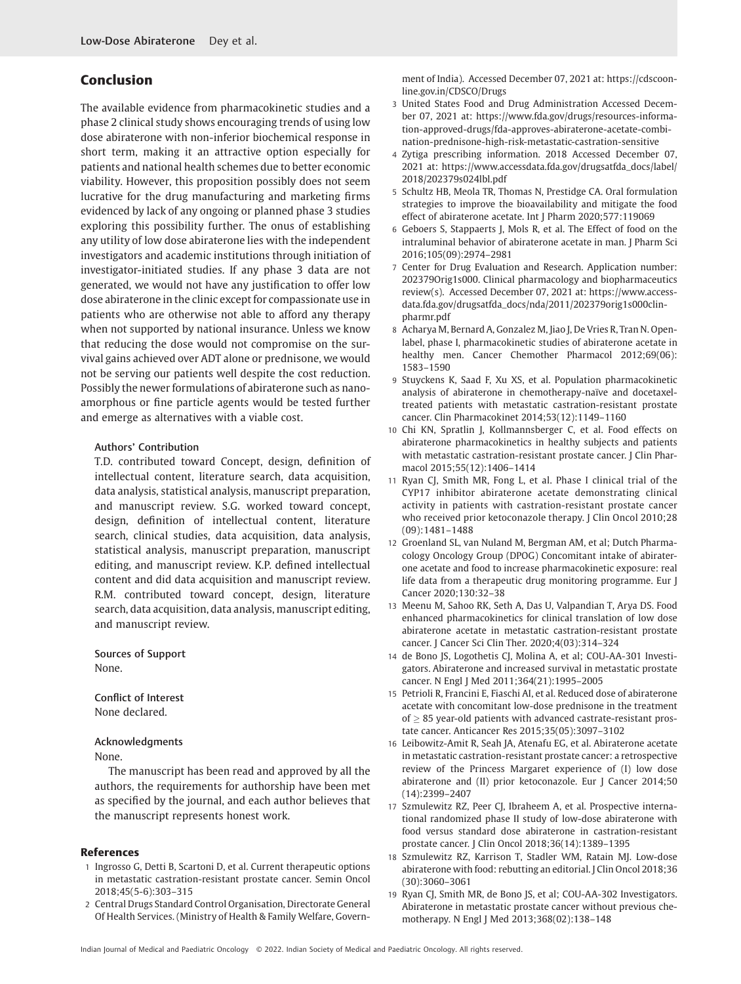## Conclusion

The available evidence from pharmacokinetic studies and a phase 2 clinical study shows encouraging trends of using low dose abiraterone with non-inferior biochemical response in short term, making it an attractive option especially for patients and national health schemes due to better economic viability. However, this proposition possibly does not seem lucrative for the drug manufacturing and marketing firms evidenced by lack of any ongoing or planned phase 3 studies exploring this possibility further. The onus of establishing any utility of low dose abiraterone lies with the independent investigators and academic institutions through initiation of investigator-initiated studies. If any phase 3 data are not generated, we would not have any justification to offer low dose abiraterone in the clinic except for compassionate use in patients who are otherwise not able to afford any therapy when not supported by national insurance. Unless we know that reducing the dose would not compromise on the survival gains achieved over ADT alone or prednisone, we would not be serving our patients well despite the cost reduction. Possibly the newer formulations of abiraterone such as nanoamorphous or fine particle agents would be tested further and emerge as alternatives with a viable cost.

#### Authors' Contribution

T.D. contributed toward Concept, design, definition of intellectual content, literature search, data acquisition, data analysis, statistical analysis, manuscript preparation, and manuscript review. S.G. worked toward concept, design, definition of intellectual content, literature search, clinical studies, data acquisition, data analysis, statistical analysis, manuscript preparation, manuscript editing, and manuscript review. K.P. defined intellectual content and did data acquisition and manuscript review. R.M. contributed toward concept, design, literature search, data acquisition, data analysis, manuscript editing, and manuscript review.

Sources of Support None.

Conflict of Interest None declared.

#### Acknowledgments

None.

The manuscript has been read and approved by all the authors, the requirements for authorship have been met as specified by the journal, and each author believes that the manuscript represents honest work.

#### References

- 1 Ingrosso G, Detti B, Scartoni D, et al. Current therapeutic options in metastatic castration-resistant prostate cancer. Semin Oncol 2018;45(5-6):303–315
- 2 Central Drugs Standard Control Organisation, Directorate General Of Health Services. (Ministry of Health & Family Welfare, Govern-

ment of India). Accessed December 07, 2021 at: [https://cdscoon](https://cdscoonline.gov.in/CDSCO/Drugs)[line.gov.in/CDSCO/Drugs](https://cdscoonline.gov.in/CDSCO/Drugs)

- 3 United States Food and Drug Administration Accessed December 07, 2021 at: [https://www.fda.gov/drugs/resources-informa](https://www.fda.gov/drugs/resources-information-approved-drugs/fda-approves-abiraterone-acetate-combination-prednisone-high-risk-metastatic-castration-sensitive)[tion-approved-drugs/fda-approves-abiraterone-acetate-combi](https://www.fda.gov/drugs/resources-information-approved-drugs/fda-approves-abiraterone-acetate-combination-prednisone-high-risk-metastatic-castration-sensitive)[nation-prednisone-high-risk-metastatic-castration-sensitive](https://www.fda.gov/drugs/resources-information-approved-drugs/fda-approves-abiraterone-acetate-combination-prednisone-high-risk-metastatic-castration-sensitive)
- 4 Zytiga prescribing information. 2018 Accessed December 07, 2021 at: [https://www.accessdata.fda.gov/drugsatfda\\_docs/label/](https://www.accessdata.fda.gov/drugsatfda_docs/label/2018/202379s024lbl.pdf) [2018/202379s024lbl.pdf](https://www.accessdata.fda.gov/drugsatfda_docs/label/2018/202379s024lbl.pdf)
- 5 Schultz HB, Meola TR, Thomas N, Prestidge CA. Oral formulation strategies to improve the bioavailability and mitigate the food effect of abiraterone acetate. Int J Pharm 2020;577:119069
- 6 Geboers S, Stappaerts J, Mols R, et al. The Effect of food on the intraluminal behavior of abiraterone acetate in man. J Pharm Sci 2016;105(09):2974–2981
- 7 Center for Drug Evaluation and Research. Application number: 202379Orig1s000. Clinical pharmacology and biopharmaceutics review(s). Accessed December 07, 2021 at: [https://www.access](https://www.accessdata.fda.gov/drugsatfda_docs/nda/2011/202379orig1s000clinpharmr.pdf)[data.fda.gov/drugsatfda\\_docs/nda/2011/202379orig1s000clin](https://www.accessdata.fda.gov/drugsatfda_docs/nda/2011/202379orig1s000clinpharmr.pdf)[pharmr.pdf](https://www.accessdata.fda.gov/drugsatfda_docs/nda/2011/202379orig1s000clinpharmr.pdf)
- 8 Acharya M, Bernard A, Gonzalez M, Jiao J, De Vries R, Tran N. Openlabel, phase I, pharmacokinetic studies of abiraterone acetate in healthy men. Cancer Chemother Pharmacol 2012;69(06): 1583–1590
- 9 Stuyckens K, Saad F, Xu XS, et al. Population pharmacokinetic analysis of abiraterone in chemotherapy-naïve and docetaxeltreated patients with metastatic castration-resistant prostate cancer. Clin Pharmacokinet 2014;53(12):1149–1160
- 10 Chi KN, Spratlin J, Kollmannsberger C, et al. Food effects on abiraterone pharmacokinetics in healthy subjects and patients with metastatic castration-resistant prostate cancer. J Clin Pharmacol 2015;55(12):1406–1414
- 11 Ryan CJ, Smith MR, Fong L, et al. Phase I clinical trial of the CYP17 inhibitor abiraterone acetate demonstrating clinical activity in patients with castration-resistant prostate cancer who received prior ketoconazole therapy. J Clin Oncol 2010;28 (09):1481–1488
- 12 Groenland SL, van Nuland M, Bergman AM, et al; Dutch Pharmacology Oncology Group (DPOG) Concomitant intake of abiraterone acetate and food to increase pharmacokinetic exposure: real life data from a therapeutic drug monitoring programme. Eur J Cancer 2020;130:32–38
- 13 Meenu M, Sahoo RK, Seth A, Das U, Valpandian T, Arya DS. Food enhanced pharmacokinetics for clinical translation of low dose abiraterone acetate in metastatic castration-resistant prostate cancer. J Cancer Sci Clin Ther. 2020;4(03):314–324
- 14 de Bono JS, Logothetis CJ, Molina A, et al; COU-AA-301 Investigators. Abiraterone and increased survival in metastatic prostate cancer. N Engl J Med 2011;364(21):1995–2005
- 15 Petrioli R, Francini E, Fiaschi AI, et al. Reduced dose of abiraterone acetate with concomitant low-dose prednisone in the treatment  $of > 85$  year-old patients with advanced castrate-resistant prostate cancer. Anticancer Res 2015;35(05):3097–3102
- 16 Leibowitz-Amit R, Seah JA, Atenafu EG, et al. Abiraterone acetate in metastatic castration-resistant prostate cancer: a retrospective review of the Princess Margaret experience of (I) low dose abiraterone and (II) prior ketoconazole. Eur J Cancer 2014;50 (14):2399–2407
- 17 Szmulewitz RZ, Peer CJ, Ibraheem A, et al. Prospective international randomized phase II study of low-dose abiraterone with food versus standard dose abiraterone in castration-resistant prostate cancer. J Clin Oncol 2018;36(14):1389–1395
- 18 Szmulewitz RZ, Karrison T, Stadler WM, Ratain MJ. Low-dose abiraterone with food: rebutting an editorial. J Clin Oncol 2018;36 (30):3060–3061
- 19 Ryan CJ, Smith MR, de Bono JS, et al; COU-AA-302 Investigators. Abiraterone in metastatic prostate cancer without previous chemotherapy. N Engl J Med 2013;368(02):138–148